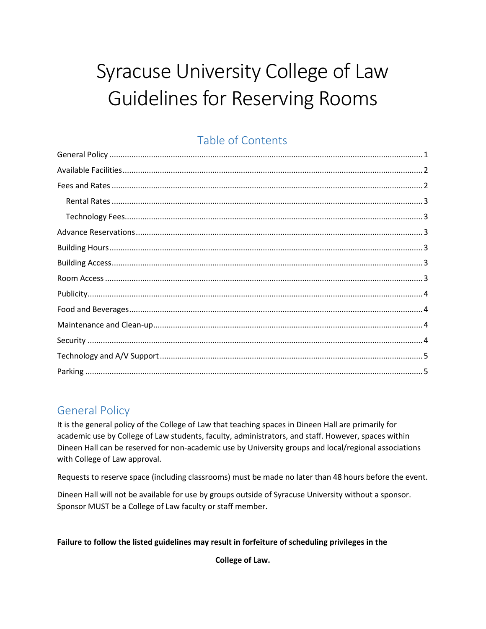# Syracuse University College of Law **Guidelines for Reserving Rooms**

# Table of Contents

# <span id="page-0-0"></span>**General Policy**

It is the general policy of the College of Law that teaching spaces in Dineen Hall are primarily for academic use by College of Law students, faculty, administrators, and staff. However, spaces within Dineen Hall can be reserved for non-academic use by University groups and local/regional associations with College of Law approval.

Requests to reserve space (including classrooms) must be made no later than 48 hours before the event.

Dineen Hall will not be available for use by groups outside of Syracuse University without a sponsor. Sponsor MUST be a College of Law faculty or staff member.

#### Failure to follow the listed guidelines may result in forfeiture of scheduling privileges in the

College of Law.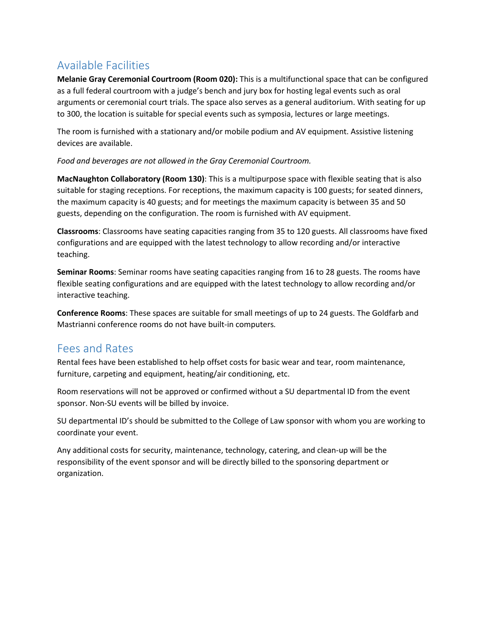# <span id="page-1-0"></span>Available Facilities

**Melanie Gray Ceremonial Courtroom (Room 020):** This is a multifunctional space that can be configured as a full federal courtroom with a judge's bench and jury box for hosting legal events such as oral arguments or ceremonial court trials. The space also serves as a general auditorium. With seating for up to 300, the location is suitable for special events such as symposia, lectures or large meetings.

The room is furnished with a stationary and/or mobile podium and AV equipment. Assistive listening devices are available.

*Food and beverages are not allowed in the Gray Ceremonial Courtroom.*

**MacNaughton Collaboratory (Room 130)**: This is a multipurpose space with flexible seating that is also suitable for staging receptions. For receptions, the maximum capacity is 100 guests; for seated dinners, the maximum capacity is 40 guests; and for meetings the maximum capacity is between 35 and 50 guests, depending on the configuration. The room is furnished with AV equipment.

**Classrooms**: Classrooms have seating capacities ranging from 35 to 120 guests. All classrooms have fixed configurations and are equipped with the latest technology to allow recording and/or interactive teaching.

**Seminar Rooms**: Seminar rooms have seating capacities ranging from 16 to 28 guests. The rooms have flexible seating configurations and are equipped with the latest technology to allow recording and/or interactive teaching.

**Conference Rooms**: These spaces are suitable for small meetings of up to 24 guests. The Goldfarb and Mastrianni conference rooms do not have built-in computers*.*

## <span id="page-1-1"></span>Fees and Rates

Rental fees have been established to help offset costs for basic wear and tear, room maintenance, furniture, carpeting and equipment, heating/air conditioning, etc.

Room reservations will not be approved or confirmed without a SU departmental ID from the event sponsor. Non-SU events will be billed by invoice.

SU departmental ID's should be submitted to the College of Law sponsor with whom you are working to coordinate your event.

Any additional costs for security, maintenance, technology, catering, and clean-up will be the responsibility of the event sponsor and will be directly billed to the sponsoring department or organization.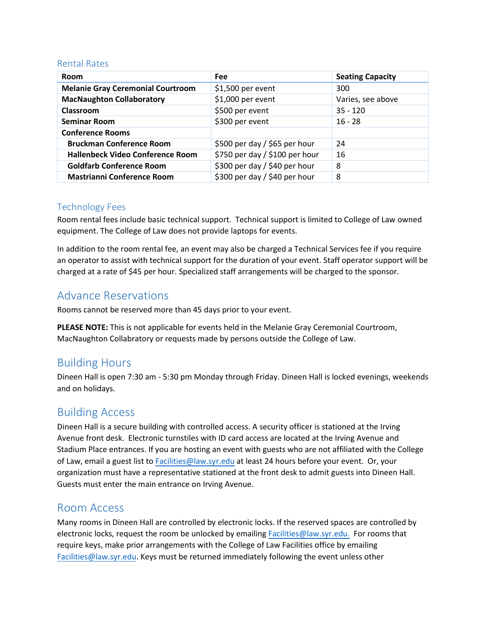#### <span id="page-2-0"></span>Rental Rates

| <b>Room</b>                              | Fee                            | <b>Seating Capacity</b> |
|------------------------------------------|--------------------------------|-------------------------|
| <b>Melanie Gray Ceremonial Courtroom</b> | $$1,500$ per event             | 300                     |
| <b>MacNaughton Collaboratory</b>         | \$1,000 per event              | Varies, see above       |
| Classroom                                | \$500 per event                | $35 - 120$              |
| <b>Seminar Room</b>                      | \$300 per event                | $16 - 28$               |
| <b>Conference Rooms</b>                  |                                |                         |
| <b>Bruckman Conference Room</b>          | \$500 per day / \$65 per hour  | 24                      |
| <b>Hallenbeck Video Conference Room</b>  | \$750 per day / \$100 per hour | 16                      |
| <b>Goldfarb Conference Room</b>          | \$300 per day / \$40 per hour  | 8                       |
| <b>Mastrianni Conference Room</b>        | \$300 per day / \$40 per hour  | 8                       |

#### <span id="page-2-1"></span>Technology Fees

Room rental fees include basic technical support. Technical support is limited to College of Law owned equipment. The College of Law does not provide laptops for events.

In addition to the room rental fee, an event may also be charged a Technical Services fee if you require an operator to assist with technical support for the duration of your event. Staff operator support will be charged at a rate of \$45 per hour. Specialized staff arrangements will be charged to the sponsor.

## <span id="page-2-2"></span>Advance Reservations

Rooms cannot be reserved more than 45 days prior to your event.

**PLEASE NOTE:** This is not applicable for events held in the Melanie Gray Ceremonial Courtroom, MacNaughton Collabratory or requests made by persons outside the College of Law.

## <span id="page-2-3"></span>Building Hours

Dineen Hall is open 7:30 am - 5:30 pm Monday through Friday. Dineen Hall is locked evenings, weekends and on holidays.

#### <span id="page-2-4"></span>Building Access

Dineen Hall is a secure building with controlled access. A security officer is stationed at the Irving Avenue front desk. Electronic turnstiles with ID card access are located at the Irving Avenue and Stadium Place entrances. If you are hosting an event with guests who are not affiliated with the College of Law, email a guest list to [Facilities@law.syr.edu](mailto:Facilities@law.syr.edu) at least 24 hours before your event. Or, your organization must have a representative stationed at the front desk to admit guests into Dineen Hall. Guests must enter the main entrance on Irving Avenue.

#### <span id="page-2-5"></span>Room Access

Many rooms in Dineen Hall are controlled by electronic locks. If the reserved spaces are controlled by electronic locks, request the room be unlocked by emailing [Facilities@law.syr.edu.](mailto:Facilities@law.syr.edu) For rooms that require keys, make prior arrangements with the College of Law Facilities office by emailing [Facilities@law.syr.edu.](mailto:Facilities@law.syr.edu) Keys must be returned immediately following the event unless other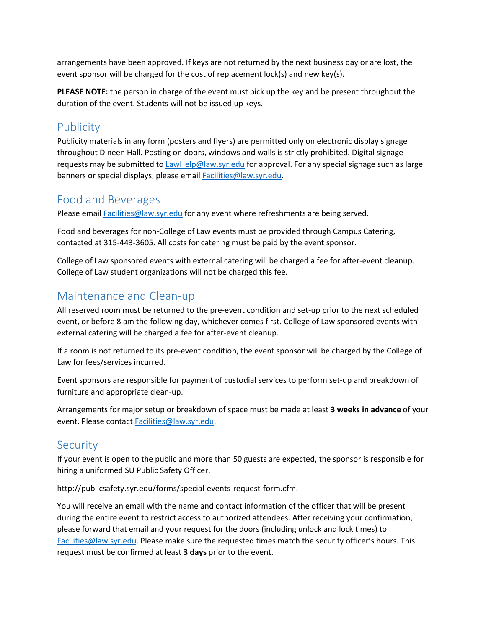arrangements have been approved. If keys are not returned by the next business day or are lost, the event sponsor will be charged for the cost of replacement lock(s) and new key(s).

**PLEASE NOTE:** the person in charge of the event must pick up the key and be present throughout the duration of the event. Students will not be issued up keys.

#### <span id="page-3-0"></span>**Publicity**

Publicity materials in any form (posters and flyers) are permitted only on electronic display signage throughout Dineen Hall. Posting on doors, windows and walls is strictly prohibited. Digital signage requests may be submitted t[o LawHelp@law.syr.edu](mailto:LawHelp@law.syr.edu) for approval. For any special signage such as large banners or special displays, please email [Facilities@law.syr.edu.](mailto:Facilities@law.syr.edu)

#### <span id="page-3-1"></span>Food and Beverages

Please email [Facilities@law.syr.edu](mailto:Facilities@law.syr.edu) for any event where refreshments are being served.

Food and beverages for non-College of Law events must be provided through Campus Catering, contacted at 315-443-3605. All costs for catering must be paid by the event sponsor.

College of Law sponsored events with external catering will be charged a fee for after-event cleanup. College of Law student organizations will not be charged this fee.

## <span id="page-3-2"></span>Maintenance and Clean-up

All reserved room must be returned to the pre-event condition and set-up prior to the next scheduled event, or before 8 am the following day, whichever comes first. College of Law sponsored events with external catering will be charged a fee for after-event cleanup.

If a room is not returned to its pre-event condition, the event sponsor will be charged by the College of Law for fees/services incurred.

Event sponsors are responsible for payment of custodial services to perform set-up and breakdown of furniture and appropriate clean-up.

Arrangements for major setup or breakdown of space must be made at least **3 weeks in advance** of your event. Please contact [Facilities@law.syr.edu.](mailto:Facilities@law.syr.edu)

## <span id="page-3-3"></span>**Security**

If your event is open to the public and more than 50 guests are expected, the sponsor is responsible for hiring a uniformed SU Public Safety Officer.

http://publicsafety.syr.edu/forms/special-events-request-form.cfm.

You will receive an email with the name and contact information of the officer that will be present during the entire event to restrict access to authorized attendees. After receiving your confirmation, please forward that email and your request for the doors (including unlock and lock times) to [Facilities@law.syr.edu.](mailto:Facilities@law.syr.edu) Please make sure the requested times match the security officer's hours. This request must be confirmed at least **3 days** prior to the event.